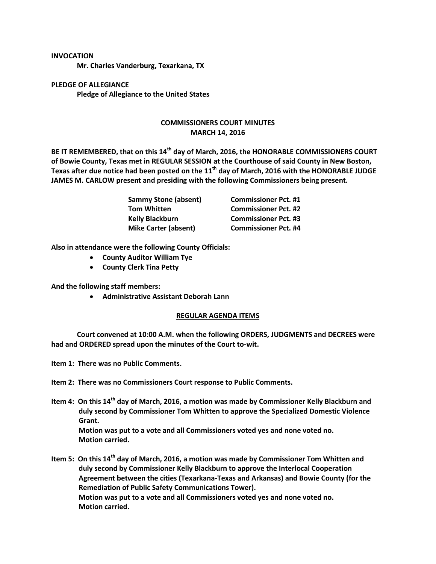## **INVOCATION**

**Mr. Charles Vanderburg, Texarkana, TX**

**PLEDGE OF ALLEGIANCE Pledge of Allegiance to the United States**

## **COMMISSIONERS COURT MINUTES MARCH 14, 2016**

**BE IT REMEMBERED, that on this 14th day of March, 2016, the HONORABLE COMMISSIONERS COURT of Bowie County, Texas met in REGULAR SESSION at the Courthouse of said County in New Boston, Texas after due notice had been posted on the 11th day of March, 2016 with the HONORABLE JUDGE JAMES M. CARLOW present and presiding with the following Commissioners being present.**

| <b>Sammy Stone (absent)</b> | <b>Commissioner Pct. #1</b> |
|-----------------------------|-----------------------------|
| <b>Tom Whitten</b>          | <b>Commissioner Pct. #2</b> |
| <b>Kelly Blackburn</b>      | <b>Commissioner Pct. #3</b> |
| <b>Mike Carter (absent)</b> | <b>Commissioner Pct. #4</b> |

**Also in attendance were the following County Officials:**

- **County Auditor William Tye**
- **County Clerk Tina Petty**

**And the following staff members:**

**Administrative Assistant Deborah Lann**

## **REGULAR AGENDA ITEMS**

**Court convened at 10:00 A.M. when the following ORDERS, JUDGMENTS and DECREES were had and ORDERED spread upon the minutes of the Court to-wit.**

**Item 1: There was no Public Comments.**

**Item 2: There was no Commissioners Court response to Public Comments.**

**Item 4: On this 14th day of March, 2016, a motion was made by Commissioner Kelly Blackburn and duly second by Commissioner Tom Whitten to approve the Specialized Domestic Violence Grant. Motion was put to a vote and all Commissioners voted yes and none voted no. Motion carried.**

**Item 5: On this 14th day of March, 2016, a motion was made by Commissioner Tom Whitten and duly second by Commissioner Kelly Blackburn to approve the Interlocal Cooperation Agreement between the cities (Texarkana-Texas and Arkansas) and Bowie County (for the Remediation of Public Safety Communications Tower). Motion was put to a vote and all Commissioners voted yes and none voted no. Motion carried.**